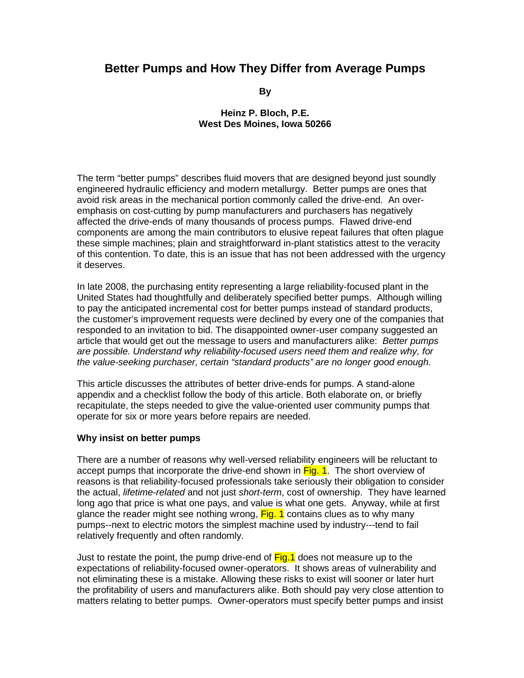# **Better Pumps and How They Differ from Average Pumps**

**By** 

#### **Heinz P. Bloch, P.E. West Des Moines, Iowa 50266**

The term "better pumps" describes fluid movers that are designed beyond just soundly engineered hydraulic efficiency and modern metallurgy. Better pumps are ones that avoid risk areas in the mechanical portion commonly called the drive-end. An overemphasis on cost-cutting by pump manufacturers and purchasers has negatively affected the drive-ends of many thousands of process pumps. Flawed drive-end components are among the main contributors to elusive repeat failures that often plague these simple machines; plain and straightforward in-plant statistics attest to the veracity of this contention. To date, this is an issue that has not been addressed with the urgency it deserves.

In late 2008, the purchasing entity representing a large reliability-focused plant in the United States had thoughtfully and deliberately specified better pumps. Although willing to pay the anticipated incremental cost for better pumps instead of standard products, the customer's improvement requests were declined by every one of the companies that responded to an invitation to bid. The disappointed owner-user company suggested an article that would get out the message to users and manufacturers alike: *Better pumps are possible. Understand why reliability-focused users need them and realize why, for the value-seeking purchaser, certain "standard products" are no longer good enough.*

This article discusses the attributes of better drive-ends for pumps. A stand-alone appendix and a checklist follow the body of this article. Both elaborate on, or briefly recapitulate, the steps needed to give the value-oriented user community pumps that operate for six or more years before repairs are needed.

#### **Why insist on better pumps**

There are a number of reasons why well-versed reliability engineers will be reluctant to accept pumps that incorporate the drive-end shown in Fig. 1. The short overview of reasons is that reliability-focused professionals take seriously their obligation to consider the actual, *lifetime-related* and not just *short-term*, cost of ownership. They have learned long ago that price is what one pays, and value is what one gets. Anyway, while at first glance the reader might see nothing wrong, Fig. 1 contains clues as to why many pumps--next to electric motors the simplest machine used by industry---tend to fail relatively frequently and often randomly.

Just to restate the point, the pump drive-end of Fig. 1 does not measure up to the expectations of reliability-focused owner-operators. It shows areas of vulnerability and not eliminating these is a mistake. Allowing these risks to exist will sooner or later hurt the profitability of users and manufacturers alike. Both should pay very close attention to matters relating to better pumps. Owner-operators must specify better pumps and insist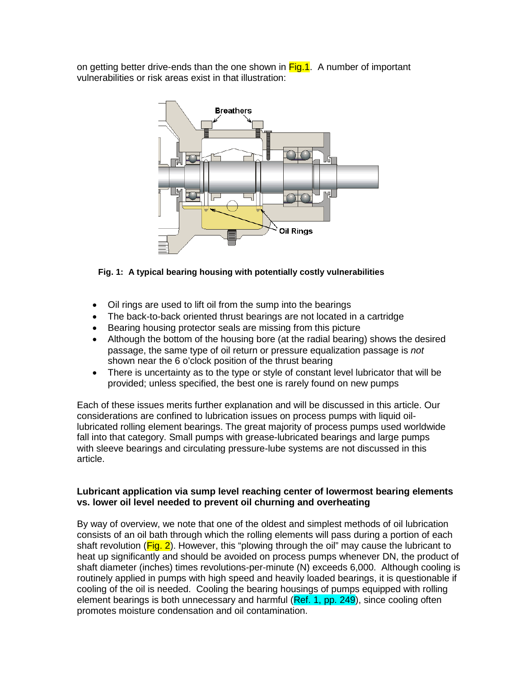on getting better drive-ends than the one shown in Fig.1. A number of important vulnerabilities or risk areas exist in that illustration:



## **Fig. 1: A typical bearing housing with potentially costly vulnerabilities**

- Oil rings are used to lift oil from the sump into the bearings
- The back-to-back oriented thrust bearings are not located in a cartridge
- Bearing housing protector seals are missing from this picture
- Although the bottom of the housing bore (at the radial bearing) shows the desired passage, the same type of oil return or pressure equalization passage is *not* shown near the 6 o'clock position of the thrust bearing
- There is uncertainty as to the type or style of constant level lubricator that will be provided; unless specified, the best one is rarely found on new pumps

Each of these issues merits further explanation and will be discussed in this article. Our considerations are confined to lubrication issues on process pumps with liquid oillubricated rolling element bearings. The great majority of process pumps used worldwide fall into that category. Small pumps with grease-lubricated bearings and large pumps with sleeve bearings and circulating pressure-lube systems are not discussed in this article.

#### **Lubricant application via sump level reaching center of lowermost bearing elements vs. lower oil level needed to prevent oil churning and overheating**

By way of overview, we note that one of the oldest and simplest methods of oil lubrication consists of an oil bath through which the rolling elements will pass during a portion of each shaft revolution ( $Fig. 2$ ). However, this "plowing through the oil" may cause the lubricant to heat up significantly and should be avoided on process pumps whenever DN, the product of shaft diameter (inches) times revolutions-per-minute (N) exceeds 6,000. Although cooling is routinely applied in pumps with high speed and heavily loaded bearings, it is questionable if cooling of the oil is needed. Cooling the bearing housings of pumps equipped with rolling element bearings is both unnecessary and harmful (Ref. 1, pp. 249), since cooling often promotes moisture condensation and oil contamination.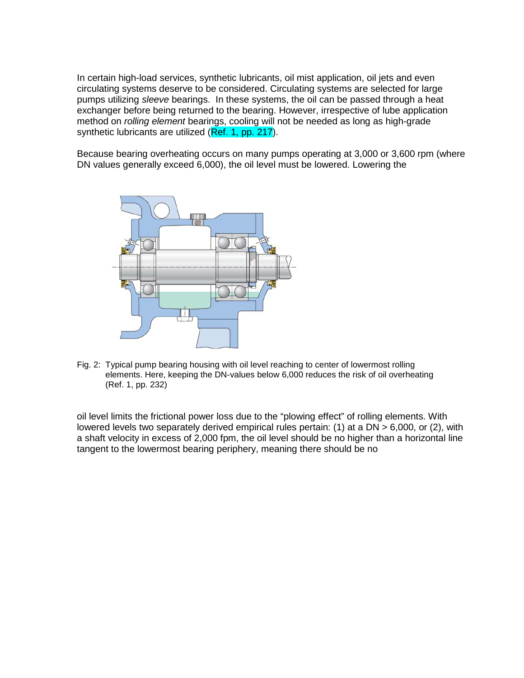In certain high-load services, synthetic lubricants, oil mist application, oil jets and even circulating systems deserve to be considered. Circulating systems are selected for large pumps utilizing *sleeve* bearings. In these systems, the oil can be passed through a heat exchanger before being returned to the bearing. However, irrespective of lube application method on *rolling element* bearings, cooling will not be needed as long as high-grade synthetic lubricants are utilized (Ref. 1, pp. 217).

Because bearing overheating occurs on many pumps operating at 3,000 or 3,600 rpm (where DN values generally exceed 6,000), the oil level must be lowered. Lowering the



Fig. 2: Typical pump bearing housing with oil level reaching to center of lowermost rolling elements. Here, keeping the DN-values below 6,000 reduces the risk of oil overheating (Ref. 1, pp. 232)

oil level limits the frictional power loss due to the "plowing effect" of rolling elements. With lowered levels two separately derived empirical rules pertain: (1) at a DN > 6,000, or (2), with a shaft velocity in excess of 2,000 fpm, the oil level should be no higher than a horizontal line tangent to the lowermost bearing periphery, meaning there should be no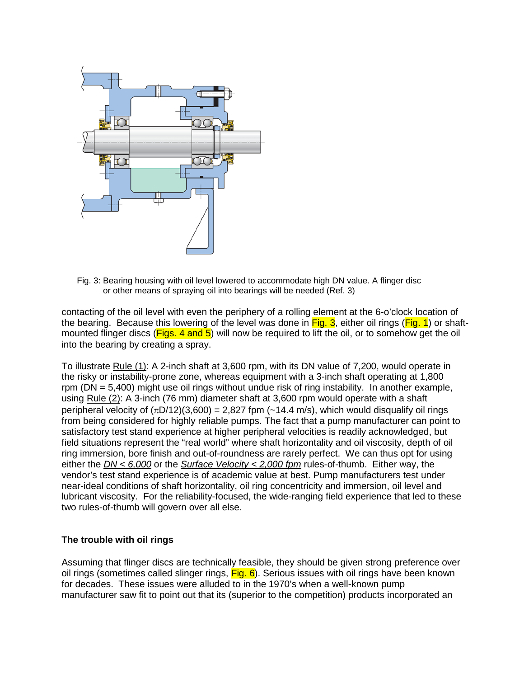

Fig. 3: Bearing housing with oil level lowered to accommodate high DN value. A flinger disc or other means of spraying oil into bearings will be needed (Ref. 3)

contacting of the oil level with even the periphery of a rolling element at the 6-o'clock location of the bearing. Because this lowering of the level was done in  $Fig. 3$ , either oil rings ( $Fig. 1$ ) or shaftmounted flinger discs ( $Figs. 4$  and  $5$ ) will now be required to lift the oil, or to somehow get the oil into the bearing by creating a spray.

To illustrate Rule (1): A 2-inch shaft at 3,600 rpm, with its DN value of 7,200, would operate in the risky or instability-prone zone, whereas equipment with a 3-inch shaft operating at 1,800 rpm (DN = 5,400) might use oil rings without undue risk of ring instability. In another example, using Rule (2): A 3-inch (76 mm) diameter shaft at 3,600 rpm would operate with a shaft peripheral velocity of  $(\pi D/12)(3,600) = 2,827$  fpm  $(-14.4 \text{ m/s})$ , which would disqualify oil rings from being considered for highly reliable pumps. The fact that a pump manufacturer can point to satisfactory test stand experience at higher peripheral velocities is readily acknowledged, but field situations represent the "real world" where shaft horizontality and oil viscosity, depth of oil ring immersion, bore finish and out-of-roundness are rarely perfect. We can thus opt for using either the *DN < 6,000* or the *Surface Velocity < 2,000 fpm* rules-of-thumb. Either way, the vendor's test stand experience is of academic value at best. Pump manufacturers test under near-ideal conditions of shaft horizontality, oil ring concentricity and immersion, oil level and lubricant viscosity. For the reliability-focused, the wide-ranging field experience that led to these two rules-of-thumb will govern over all else.

## **The trouble with oil rings**

Assuming that flinger discs are technically feasible, they should be given strong preference over oil rings (sometimes called slinger rings,  $Fig. 6$ ). Serious issues with oil rings have been known for decades. These issues were alluded to in the 1970's when a well-known pump manufacturer saw fit to point out that its (superior to the competition) products incorporated an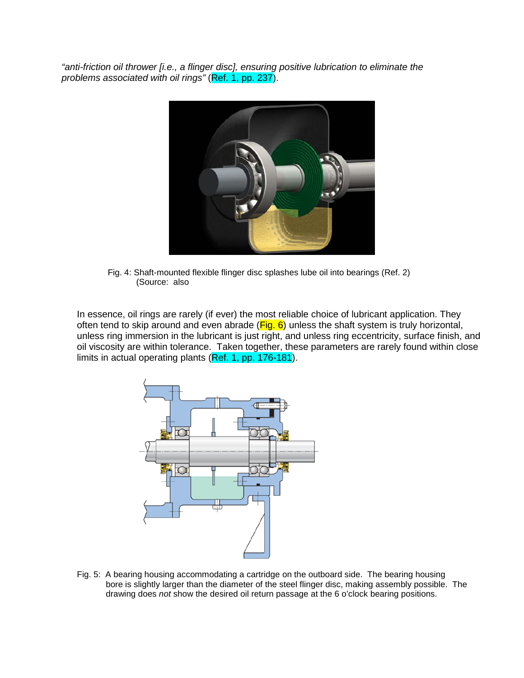*"anti-friction oil thrower [i.e., a flinger disc], ensuring positive lubrication to eliminate the problems associated with oil rings"* (Ref. 1, pp. 237).



Fig. 4: Shaft-mounted flexible flinger disc splashes lube oil into bearings (Ref. 2) (Source: also

In essence, oil rings are rarely (if ever) the most reliable choice of lubricant application. They often tend to skip around and even abrade ( $Fig. 6$ ) unless the shaft system is truly horizontal, unless ring immersion in the lubricant is just right, and unless ring eccentricity, surface finish, and oil viscosity are within tolerance. Taken together, these parameters are rarely found within close limits in actual operating plants (Ref. 1, pp. 176-181).



Fig. 5: A bearing housing accommodating a cartridge on the outboard side. The bearing housing bore is slightly larger than the diameter of the steel flinger disc, making assembly possible. The drawing does *not* show the desired oil return passage at the 6 o'clock bearing positions.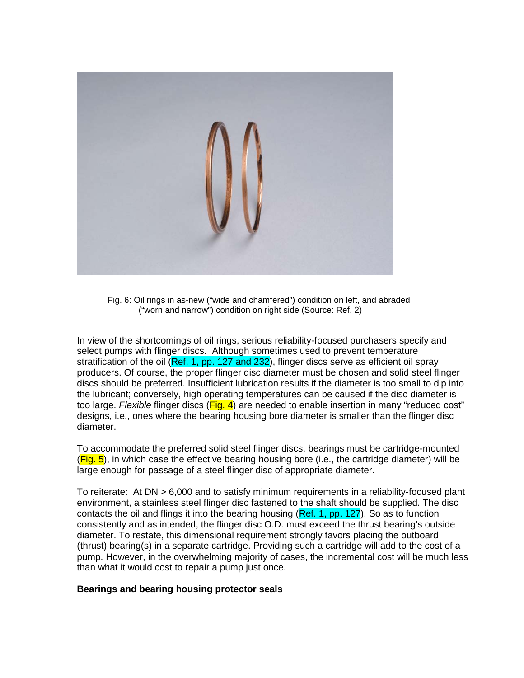

Fig. 6: Oil rings in as-new ("wide and chamfered") condition on left, and abraded ("worn and narrow") condition on right side (Source: Ref. 2)

In view of the shortcomings of oil rings, serious reliability-focused purchasers specify and select pumps with flinger discs. Although sometimes used to prevent temperature stratification of the oil (Ref. 1, pp. 127 and 232), flinger discs serve as efficient oil spray producers. Of course, the proper flinger disc diameter must be chosen and solid steel flinger discs should be preferred. Insufficient lubrication results if the diameter is too small to dip into the lubricant; conversely, high operating temperatures can be caused if the disc diameter is too large. *Flexible* flinger discs (Fig. 4) are needed to enable insertion in many "reduced cost" designs, i.e., ones where the bearing housing bore diameter is smaller than the flinger disc diameter.

To accommodate the preferred solid steel flinger discs, bearings must be cartridge-mounted  $(Fia, 5)$ , in which case the effective bearing housing bore (i.e., the cartridge diameter) will be large enough for passage of a steel flinger disc of appropriate diameter.

To reiterate: At DN > 6,000 and to satisfy minimum requirements in a reliability-focused plant environment, a stainless steel flinger disc fastened to the shaft should be supplied. The disc contacts the oil and flings it into the bearing housing (Ref. 1, pp. 127). So as to function consistently and as intended, the flinger disc O.D. must exceed the thrust bearing's outside diameter. To restate, this dimensional requirement strongly favors placing the outboard (thrust) bearing(s) in a separate cartridge. Providing such a cartridge will add to the cost of a pump. However, in the overwhelming majority of cases, the incremental cost will be much less than what it would cost to repair a pump just once.

#### **Bearings and bearing housing protector seals**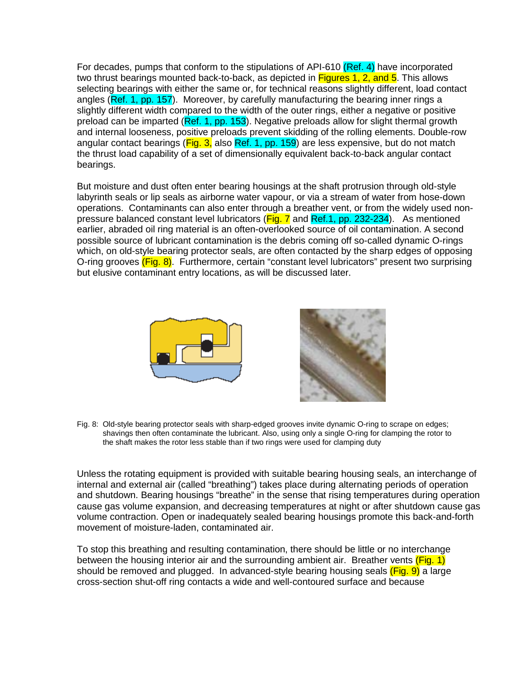For decades, pumps that conform to the stipulations of API-610 (Ref. 4) have incorporated two thrust bearings mounted back-to-back, as depicted in Figures 1, 2, and 5. This allows selecting bearings with either the same or, for technical reasons slightly different, load contact angles (Ref. 1, pp. 157). Moreover, by carefully manufacturing the bearing inner rings a slightly different width compared to the width of the outer rings, either a negative or positive preload can be imparted (Ref. 1, pp. 153). Negative preloads allow for slight thermal growth and internal looseness, positive preloads prevent skidding of the rolling elements. Double-row angular contact bearings (Fig. 3, also Ref. 1, pp. 159) are less expensive, but do not match the thrust load capability of a set of dimensionally equivalent back-to-back angular contact bearings.

But moisture and dust often enter bearing housings at the shaft protrusion through old-style labyrinth seals or lip seals as airborne water vapour, or via a stream of water from hose-down operations. Contaminants can also enter through a breather vent, or from the widely used nonpressure balanced constant level lubricators (Fig. 7 and Ref.1, pp. 232-234). As mentioned earlier, abraded oil ring material is an often-overlooked source of oil contamination. A second possible source of lubricant contamination is the debris coming off so-called dynamic O-rings which, on old-style bearing protector seals, are often contacted by the sharp edges of opposing O-ring grooves (Fig. 8). Furthermore, certain "constant level lubricators" present two surprising but elusive contaminant entry locations, as will be discussed later.



Fig. 8: Old-style bearing protector seals with sharp-edged grooves invite dynamic O-ring to scrape on edges; shavings then often contaminate the lubricant. Also, using only a single O-ring for clamping the rotor to the shaft makes the rotor less stable than if two rings were used for clamping duty

Unless the rotating equipment is provided with suitable bearing housing seals, an interchange of internal and external air (called "breathing") takes place during alternating periods of operation and shutdown. Bearing housings "breathe" in the sense that rising temperatures during operation cause gas volume expansion, and decreasing temperatures at night or after shutdown cause gas volume contraction. Open or inadequately sealed bearing housings promote this back-and-forth movement of moisture-laden, contaminated air.

To stop this breathing and resulting contamination, there should be little or no interchange between the housing interior air and the surrounding ambient air. Breather vents (Fig. 1) should be removed and plugged. In advanced-style bearing housing seals (Fig. 9) a large cross-section shut-off ring contacts a wide and well-contoured surface and because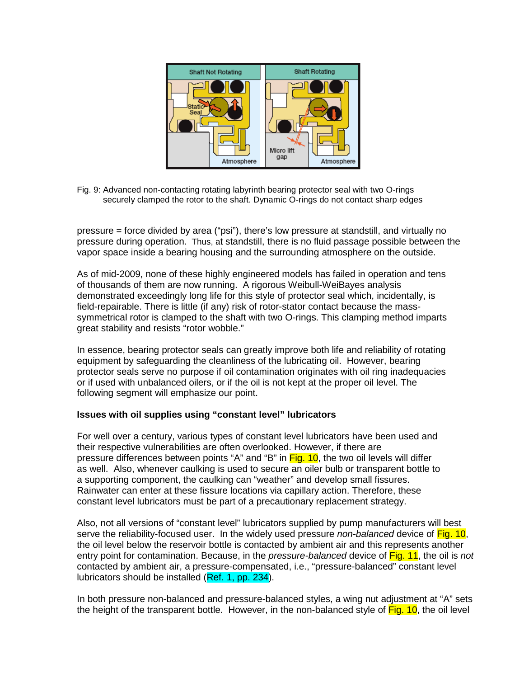

Fig. 9: Advanced non-contacting rotating labyrinth bearing protector seal with two O-rings securely clamped the rotor to the shaft. Dynamic O-rings do not contact sharp edges

pressure = force divided by area ("psi"), there's low pressure at standstill, and virtually no pressure during operation. Thus, at standstill, there is no fluid passage possible between the vapor space inside a bearing housing and the surrounding atmosphere on the outside.

As of mid-2009, none of these highly engineered models has failed in operation and tens of thousands of them are now running. A rigorous Weibull-WeiBayes analysis demonstrated exceedingly long life for this style of protector seal which, incidentally, is field-repairable. There is little (if any) risk of rotor-stator contact because the masssymmetrical rotor is clamped to the shaft with two O-rings. This clamping method imparts great stability and resists "rotor wobble."

In essence, bearing protector seals can greatly improve both life and reliability of rotating equipment by safeguarding the cleanliness of the lubricating oil. However, bearing protector seals serve no purpose if oil contamination originates with oil ring inadequacies or if used with unbalanced oilers, or if the oil is not kept at the proper oil level. The following segment will emphasize our point.

#### **Issues with oil supplies using "constant level" lubricators**

For well over a century, various types of constant level lubricators have been used and their respective vulnerabilities are often overlooked. However, if there are pressure differences between points "A" and "B" in Fig. 10, the two oil levels will differ as well. Also, whenever caulking is used to secure an oiler bulb or transparent bottle to a supporting component, the caulking can "weather" and develop small fissures. Rainwater can enter at these fissure locations via capillary action. Therefore, these constant level lubricators must be part of a precautionary replacement strategy.

Also, not all versions of "constant level" lubricators supplied by pump manufacturers will best serve the reliability-focused user. In the widely used pressure *non-balanced* device of Fig. 10, the oil level below the reservoir bottle is contacted by ambient air and this represents another entry point for contamination. Because, in the *pressure-balanced* device of Fig. 11, the oil is *not*  contacted by ambient air, a pressure-compensated, i.e., "pressure-balanced" constant level lubricators should be installed (Ref. 1, pp. 234).

In both pressure non-balanced and pressure-balanced styles, a wing nut adjustment at "A" sets the height of the transparent bottle. However, in the non-balanced style of Fig. 10, the oil level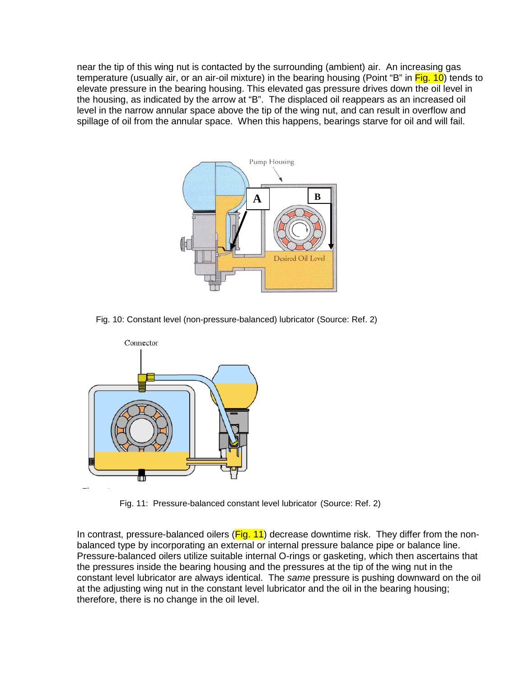near the tip of this wing nut is contacted by the surrounding (ambient) air. An increasing gas temperature (usually air, or an air-oil mixture) in the bearing housing (Point "B" in Fig. 10) tends to elevate pressure in the bearing housing. This elevated gas pressure drives down the oil level in the housing, as indicated by the arrow at "B". The displaced oil reappears as an increased oil level in the narrow annular space above the tip of the wing nut, and can result in overflow and spillage of oil from the annular space. When this happens, bearings starve for oil and will fail.



Fig. 10: Constant level (non-pressure-balanced) lubricator (Source: Ref. 2)



Fig. 11: Pressure-balanced constant level lubricator (Source: Ref. 2)

In contrast, pressure-balanced oilers  $(Fig. 11)$  decrease downtime risk. They differ from the nonbalanced type by incorporating an external or internal pressure balance pipe or balance line. Pressure-balanced oilers utilize suitable internal O-rings or gasketing, which then ascertains that the pressures inside the bearing housing and the pressures at the tip of the wing nut in the constant level lubricator are always identical. The *same* pressure is pushing downward on the oil at the adjusting wing nut in the constant level lubricator and the oil in the bearing housing; therefore, there is no change in the oil level.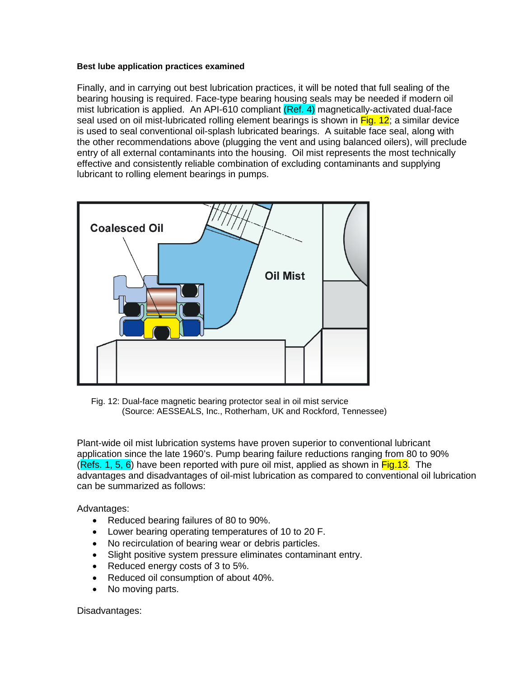#### **Best lube application practices examined**

Finally, and in carrying out best lubrication practices, it will be noted that full sealing of the bearing housing is required. Face-type bearing housing seals may be needed if modern oil mist lubrication is applied. An API-610 compliant (Ref. 4) magnetically-activated dual-face seal used on oil mist-lubricated rolling element bearings is shown in Fig. 12; a similar device is used to seal conventional oil-splash lubricated bearings. A suitable face seal, along with the other recommendations above (plugging the vent and using balanced oilers), will preclude entry of all external contaminants into the housing. Oil mist represents the most technically effective and consistently reliable combination of excluding contaminants and supplying lubricant to rolling element bearings in pumps.



 Fig. 12: Dual-face magnetic bearing protector seal in oil mist service (Source: AESSEALS, Inc., Rotherham, UK and Rockford, Tennessee)

Plant-wide oil mist lubrication systems have proven superior to conventional lubricant application since the late 1960's. Pump bearing failure reductions ranging from 80 to 90% (Refs. 1, 5, 6) have been reported with pure oil mist, applied as shown in  $Fig.13$ . The advantages and disadvantages of oil-mist lubrication as compared to conventional oil lubrication can be summarized as follows:

Advantages:

- Reduced bearing failures of 80 to 90%.
- Lower bearing operating temperatures of 10 to 20 F.
- No recirculation of bearing wear or debris particles.
- Slight positive system pressure eliminates contaminant entry.
- Reduced energy costs of 3 to 5%.
- Reduced oil consumption of about 40%.
- No moving parts.

Disadvantages: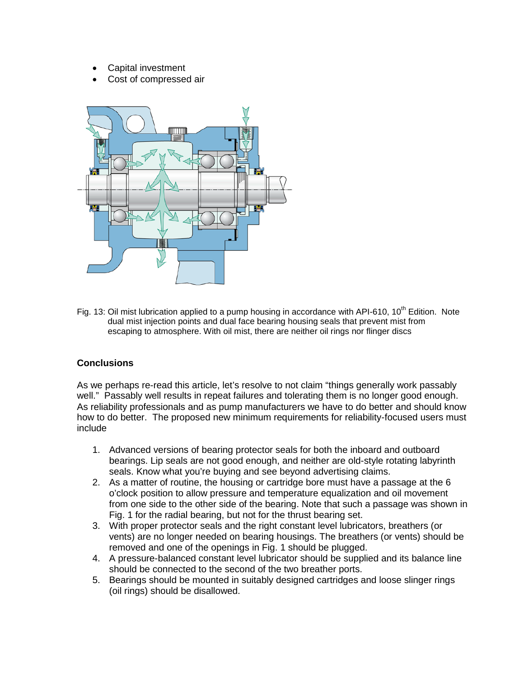- Capital investment
- Cost of compressed air



Fig. 13: Oil mist lubrication applied to a pump housing in accordance with API-610, 10<sup>th</sup> Edition. Note dual mist injection points and dual face bearing housing seals that prevent mist from escaping to atmosphere. With oil mist, there are neither oil rings nor flinger discs

## **Conclusions**

As we perhaps re-read this article, let's resolve to not claim "things generally work passably well." Passably well results in repeat failures and tolerating them is no longer good enough. As reliability professionals and as pump manufacturers we have to do better and should know how to do better. The proposed new minimum requirements for reliability-focused users must include

- 1. Advanced versions of bearing protector seals for both the inboard and outboard bearings. Lip seals are not good enough, and neither are old-style rotating labyrinth seals. Know what you're buying and see beyond advertising claims.
- 2. As a matter of routine, the housing or cartridge bore must have a passage at the 6 o'clock position to allow pressure and temperature equalization and oil movement from one side to the other side of the bearing. Note that such a passage was shown in Fig. 1 for the radial bearing, but not for the thrust bearing set.
- 3. With proper protector seals and the right constant level lubricators, breathers (or vents) are no longer needed on bearing housings. The breathers (or vents) should be removed and one of the openings in Fig. 1 should be plugged.
- 4. A pressure-balanced constant level lubricator should be supplied and its balance line should be connected to the second of the two breather ports.
- 5. Bearings should be mounted in suitably designed cartridges and loose slinger rings (oil rings) should be disallowed.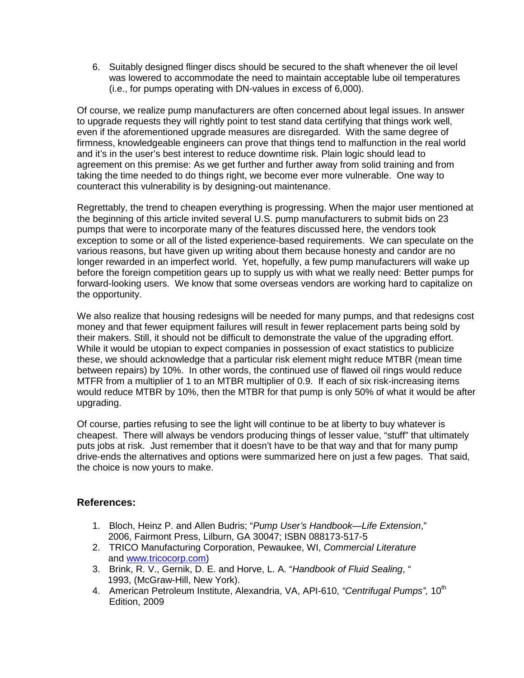6. Suitably designed flinger discs should be secured to the shaft whenever the oil level was lowered to accommodate the need to maintain acceptable lube oil temperatures (i.e., for pumps operating with DN-values in excess of 6,000).

Of course, we realize pump manufacturers are often concerned about legal issues. In answer to upgrade requests they will rightly point to test stand data certifying that things work well, even if the aforementioned upgrade measures are disregarded. With the same degree of firmness, knowledgeable engineers can prove that things tend to malfunction in the real world and it's in the user's best interest to reduce downtime risk. Plain logic should lead to agreement on this premise: As we get further and further away from solid training and from taking the time needed to do things right, we become ever more vulnerable. One way to counteract this vulnerability is by designing-out maintenance.

Regrettably, the trend to cheapen everything is progressing. When the major user mentioned at the beginning of this article invited several U.S. pump manufacturers to submit bids on 23 pumps that were to incorporate many of the features discussed here, the vendors took exception to some or all of the listed experience-based requirements. We can speculate on the various reasons, but have given up writing about them because honesty and candor are no longer rewarded in an imperfect world. Yet, hopefully, a few pump manufacturers will wake up before the foreign competition gears up to supply us with what we really need: Better pumps for forward-looking users. We know that some overseas vendors are working hard to capitalize on the opportunity.

We also realize that housing redesigns will be needed for many pumps, and that redesigns cost money and that fewer equipment failures will result in fewer replacement parts being sold by their makers. Still, it should not be difficult to demonstrate the value of the upgrading effort. While it would be utopian to expect companies in possession of exact statistics to publicize these, we should acknowledge that a particular risk element might reduce MTBR (mean time between repairs) by 10%. In other words, the continued use of flawed oil rings would reduce MTFR from a multiplier of 1 to an MTBR multiplier of 0.9. If each of six risk-increasing items would reduce MTBR by 10%, then the MTBR for that pump is only 50% of what it would be after upgrading.

Of course, parties refusing to see the light will continue to be at liberty to buy whatever is cheapest. There will always be vendors producing things of lesser value, "stuff" that ultimately puts jobs at risk. Just remember that it doesn't have to be that way and that for many pump drive-ends the alternatives and options were summarized here on just a few pages. That said, the choice is now yours to make.

## **References:**

- 1. Bloch, Heinz P. and Allen Budris; "*Pump User's Handbook—Life Extension*," 2006, Fairmont Press, Lilburn, GA 30047; ISBN 088173-517-5
- 2. TRICO Manufacturing Corporation, Pewaukee, WI, *Commercial Literature* and [www.tricocorp.com\)](http://www.tricocorp.com/)
- 3. Brink, R. V., Gernik, D. E. and Horve, L. A. "*Handbook of Fluid Sealing*, " 1993, (McGraw-Hill, New York).
- 4. American Petroleum Institute, Alexandria, VA, API-610, "Centrifugal Pumps", 10<sup>th</sup> Edition, 2009